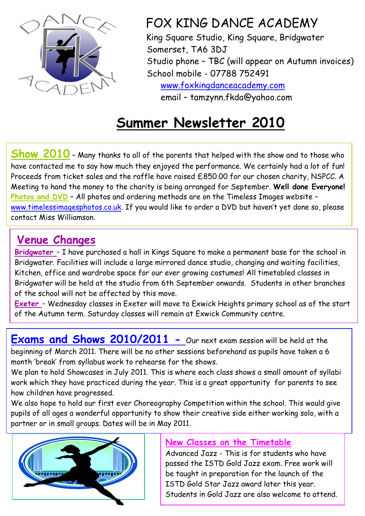

FOX KING DANCE ACADEMY

 King Square Studio, King Square, Bridgwater Somerset, TA6 3DJ Studio phone – TBC (will appear on Autumn invoices) School mobile - 07788 752491 [www.foxkingdanceacademy.com](http://www.foxkingdanceacademy.com/)

email – tamzynn.fkda@yahoo.com

# **Summer Newsletter 2010**

**Show 2010** – Many thanks to all of the parents that helped with the show and to those who have contacted me to say how much they enjoyed the performance. We certainly had a lot of fun! Proceeds from ticket sales and the raffle have raised £850.00 for our chosen charity, NSPCC. A Meeting to hand the money to the charity is being arranged for September. **Well done Everyone!** Photos and DVD - All photos and ordering methods are on the Timeless Images website [www.timelessimagesphotos.co.uk](http://www.timelessimagesphotos.co.uk/). If you would like to order a DVD but haven't yet done so, please contact Miss Williamson.

## **Venue Changes**

**Bridgwater** – I have purchased a hall in Kings Square to make a permanent base for the school in Bridgwater. Facilities will include a large mirrored dance studio, changing and waiting facilities, Kitchen, office and wardrobe space for our ever growing costumes! All timetabled classes in Bridgwater will be held at the studio from 6th September onwards. Students in other branches of the school will not be affected by this move.

**Exeter** – Wednesday classes in Exeter will move to Exwick Heights primary school as of the start of the Autumn term. Saturday classes will remain at Exwick Community centre.

**Exams and Shows 2010/2011 -** Our next exam session will be held at the beginning of March 2011. There will be no other sessions beforehand as pupils have taken a 6 month 'break' from syllabus work to rehearse for the shows.

We plan to hold Showcases in July 2011. This is where each class shows a small amount of syllabi work which they have practiced during the year. This is a great opportunity for parents to see how children have progressed.

We also hope to hold our first ever Choreography Competition within the school. This would give pupils of all ages a wonderful opportunity to show their creative side either working solo, with a partner or in small groups. Dates will be in May 2011.



#### **New Classes on the Timetable**

Advanced Jazz - This is for students who have passed the ISTD Gold Jazz exam. Free work will be taught in preparation for the launch of the ISTD Gold Star Jazz award later this year. Students in Gold Jazz are also welcome to attend.